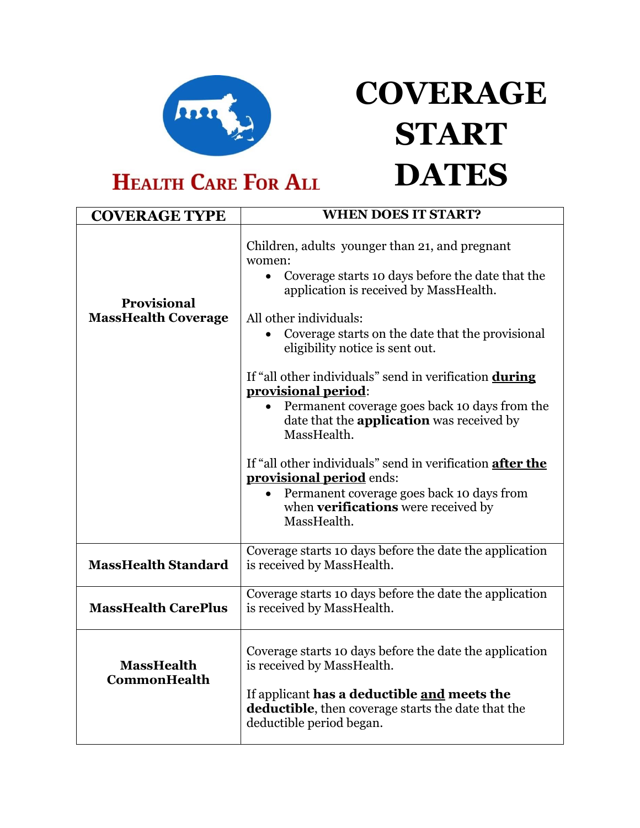

## **COVERAGE START DATES**

**HEALTH CARE FOR ALL** 

| <b>COVERAGE TYPE</b>                             | <b>WHEN DOES IT START?</b>                                                                                                                                                                                             |
|--------------------------------------------------|------------------------------------------------------------------------------------------------------------------------------------------------------------------------------------------------------------------------|
| <b>Provisional</b><br><b>MassHealth Coverage</b> | Children, adults younger than 21, and pregnant<br>women:<br>Coverage starts 10 days before the date that the<br>$\bullet$<br>application is received by MassHealth.                                                    |
|                                                  | All other individuals:<br>Coverage starts on the date that the provisional<br>$\bullet$<br>eligibility notice is sent out.                                                                                             |
|                                                  | If "all other individuals" send in verification during<br>provisional period:<br>Permanent coverage goes back 10 days from the<br>date that the <b>application</b> was received by<br>MassHealth.                      |
|                                                  | If "all other individuals" send in verification after the<br><b>provisional period</b> ends:<br>Permanent coverage goes back 10 days from<br>$\bullet$<br>when verifications were received by<br>MassHealth.           |
| <b>MassHealth Standard</b>                       | Coverage starts 10 days before the date the application<br>is received by MassHealth.                                                                                                                                  |
| <b>MassHealth CarePlus</b>                       | Coverage starts 10 days before the date the application<br>is received by MassHealth.                                                                                                                                  |
| <b>MassHealth</b><br><b>CommonHealth</b>         | Coverage starts 10 days before the date the application<br>is received by MassHealth.<br>If applicant has a deductible and meets the<br>deductible, then coverage starts the date that the<br>deductible period began. |